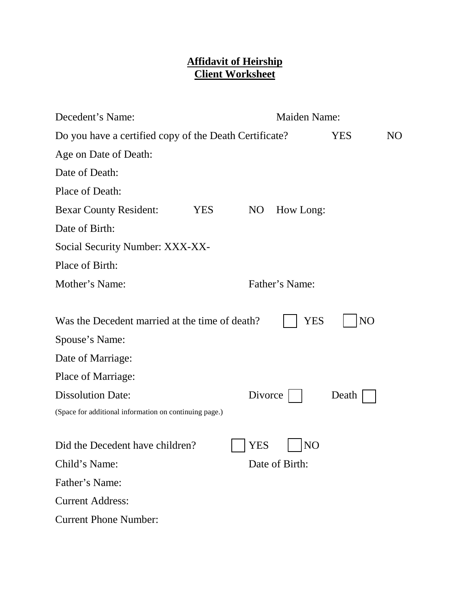## **Affidavit of Heirship Client Worksheet**

| Decedent's Name:                                       |            | <b>Maiden Name:</b> |                |       |  |
|--------------------------------------------------------|------------|---------------------|----------------|-------|--|
| Do you have a certified copy of the Death Certificate? |            | <b>YES</b>          | NO             |       |  |
| Age on Date of Death:                                  |            |                     |                |       |  |
| Date of Death:                                         |            |                     |                |       |  |
| Place of Death:                                        |            |                     |                |       |  |
| <b>Bexar County Resident:</b>                          | <b>YES</b> | N <sub>O</sub>      | How Long:      |       |  |
| Date of Birth:                                         |            |                     |                |       |  |
| Social Security Number: XXX-XX-                        |            |                     |                |       |  |
| Place of Birth:                                        |            |                     |                |       |  |
| Mother's Name:                                         |            |                     | Father's Name: |       |  |
|                                                        |            |                     |                |       |  |
| Was the Decedent married at the time of death?         |            |                     | YES            | NO    |  |
| Spouse's Name:                                         |            |                     |                |       |  |
| Date of Marriage:                                      |            |                     |                |       |  |
| Place of Marriage:                                     |            |                     |                |       |  |
| <b>Dissolution Date:</b>                               |            | Divorce             |                | Death |  |
| (Space for additional information on continuing page.) |            |                     |                |       |  |
|                                                        |            |                     |                |       |  |
| Did the Decedent have children?                        |            | YES                 | N <sub>O</sub> |       |  |
| Child's Name:                                          |            |                     | Date of Birth: |       |  |
| Father's Name:                                         |            |                     |                |       |  |
| <b>Current Address:</b>                                |            |                     |                |       |  |
| <b>Current Phone Number:</b>                           |            |                     |                |       |  |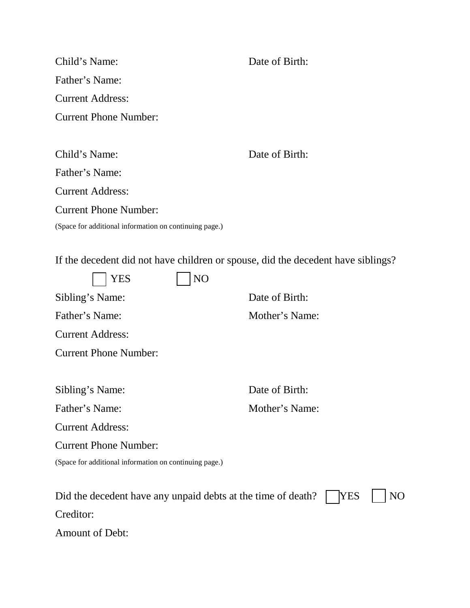| Child's Name:                                                                    | Date of Birth: |  |
|----------------------------------------------------------------------------------|----------------|--|
| Father's Name:                                                                   |                |  |
| <b>Current Address:</b>                                                          |                |  |
| <b>Current Phone Number:</b>                                                     |                |  |
|                                                                                  |                |  |
| Child's Name:                                                                    | Date of Birth: |  |
| Father's Name:                                                                   |                |  |
| <b>Current Address:</b>                                                          |                |  |
| <b>Current Phone Number:</b>                                                     |                |  |
| (Space for additional information on continuing page.)                           |                |  |
|                                                                                  |                |  |
| If the decedent did not have children or spouse, did the decedent have siblings? |                |  |
| NO<br>YES                                                                        |                |  |
| Sibling's Name:                                                                  | Date of Birth: |  |
| Father's Name:                                                                   | Mother's Name: |  |
| <b>Current Address:</b>                                                          |                |  |
| <b>Current Phone Number:</b>                                                     |                |  |
|                                                                                  |                |  |
| Sibling's Name:                                                                  | Date of Birth: |  |
| Father's Name:                                                                   | Mother's Name: |  |
| <b>Current Address:</b>                                                          |                |  |
| <b>Current Phone Number:</b>                                                     |                |  |
| (Space for additional information on continuing page.)                           |                |  |
|                                                                                  |                |  |
| <b>YES</b><br>NO<br>Did the decedent have any unpaid debts at the time of death? |                |  |
| Creditor:                                                                        |                |  |
| Amount of Debt:                                                                  |                |  |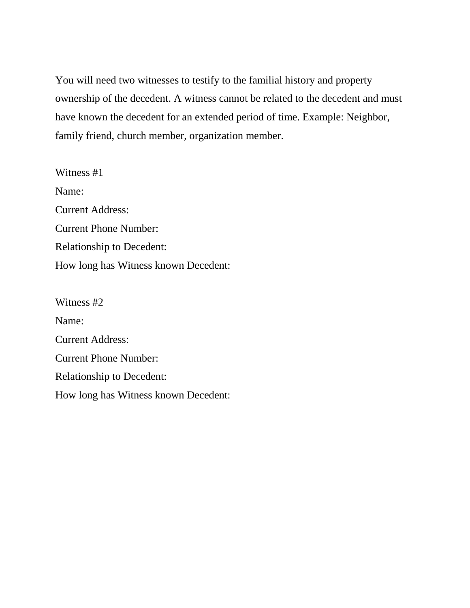You will need two witnesses to testify to the familial history and property ownership of the decedent. A witness cannot be related to the decedent and must have known the decedent for an extended period of time. Example: Neighbor, family friend, church member, organization member.

Witness #1 Name: Current Address: Current Phone Number: Relationship to Decedent: How long has Witness known Decedent:

Witness #2 Name: Current Address: Current Phone Number: Relationship to Decedent: How long has Witness known Decedent: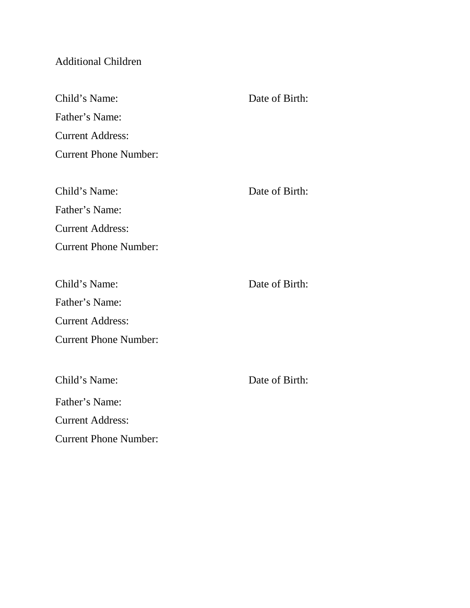## Additional Children

| Child's Name:                | Date of Birth: |
|------------------------------|----------------|
| Father's Name:               |                |
| <b>Current Address:</b>      |                |
| <b>Current Phone Number:</b> |                |
|                              |                |
| Child's Name:                | Date of Birth: |
| Father's Name:               |                |
| <b>Current Address:</b>      |                |
| <b>Current Phone Number:</b> |                |
|                              |                |
| Child's Name:                | Date of Birth: |
| Father's Name:               |                |
| <b>Current Address:</b>      |                |
| <b>Current Phone Number:</b> |                |
|                              |                |
| Child's Name:                | Date of Birth: |
| Father's Name:               |                |

Current Address:

Current Phone Number: